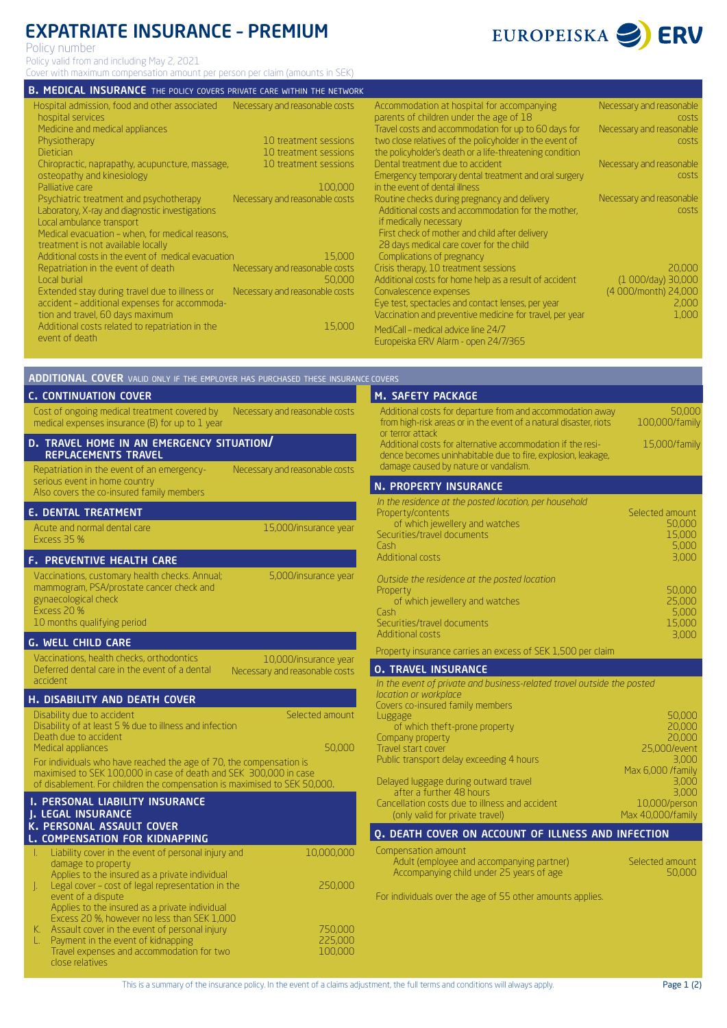# EXPATRIATE INSURANCE – PREMIUM

Policy number

Policy valid from and including May 2, 2021

Cover with maximum compensation amount per person per claim (amounts in SEK)

#### **B. MEDICAL INSURANCE** THE POLICY COVERS PRIVATE CARE WITHIN THE NETWORK

| Necessary and reasonable costs |
|--------------------------------|
|                                |
|                                |
| 10 treatment sessions          |
|                                |
| 10 treatment sessions          |
| 10 treatment sessions          |
|                                |
| 100,000                        |
| Necessary and reasonable costs |
|                                |
|                                |
|                                |
|                                |
|                                |
| 15,000                         |
| Necessary and reasonable costs |
| 50,000                         |
| Necessary and reasonable costs |
|                                |
|                                |
|                                |
| 15,000                         |
|                                |
|                                |

**ADDITIONAL COVER** VALID ONLY IF THE EMPLOYER HAS PURCHASED THESE INSURANCE COVERS

| Accommodation at hospital for accompanying<br>parents of children under the age of 18<br>Travel costs and accommodation for up to 60 days for<br>two close relatives of the policyholder in the event of                                                                                                                                                               | Necessary and reasonable<br>costs<br>Necessary and reasonable<br>costs |
|------------------------------------------------------------------------------------------------------------------------------------------------------------------------------------------------------------------------------------------------------------------------------------------------------------------------------------------------------------------------|------------------------------------------------------------------------|
| the policyholder's death or a life-threatening condition<br>Dental treatment due to accident<br>Emergency temporary dental treatment and oral surgery<br>in the event of dental illness                                                                                                                                                                                | Necessary and reasonable<br>costs                                      |
| Routine checks during pregnancy and delivery<br>Additional costs and accommodation for the mother,<br>if medically necessary                                                                                                                                                                                                                                           | Necessary and reasonable<br>costs                                      |
| First check of mother and child after delivery<br>28 days medical care cover for the child<br>Complications of pregnancy<br>Crisis therapy, 10 treatment sessions<br>Additional costs for home help as a result of accident<br>Convalescence expenses<br>Eye test, spectacles and contact lenses, per year<br>Vaccination and preventive medicine for travel, per year | 20,000<br>(1 000/day) 30,000<br>(4 000/month) 24,000<br>2,000<br>1,000 |
| MediCall – medical advice line 24/7<br>Europeiska ERV Alarm - open 24/7/365                                                                                                                                                                                                                                                                                            |                                                                        |

| <b>C. CONTINUATION COVER</b>                                                                                                                                                                                                                                                                                                                                                               | M. SAFETY PACKAGE                                                                                                                                                                        |
|--------------------------------------------------------------------------------------------------------------------------------------------------------------------------------------------------------------------------------------------------------------------------------------------------------------------------------------------------------------------------------------------|------------------------------------------------------------------------------------------------------------------------------------------------------------------------------------------|
| Cost of ongoing medical treatment covered by<br>Necessary and reasonable costs<br>medical expenses insurance (B) for up to 1 year                                                                                                                                                                                                                                                          | Additional costs for departure from<br>from high-risk areas or in the event<br>or terror attack                                                                                          |
| D. TRAVEL HOME IN AN EMERGENCY SITUATION/<br><b>REPLACEMENTS TRAVEL</b>                                                                                                                                                                                                                                                                                                                    | Additional costs for alternative acc<br>dence becomes uninhabitable due                                                                                                                  |
| Repatriation in the event of an emergency-<br>Necessary and reasonable costs<br>serious event in home country                                                                                                                                                                                                                                                                              | damage caused by nature or vanda<br><b>N. PROPERTY INSURANCE</b>                                                                                                                         |
| Also covers the co-insured family members                                                                                                                                                                                                                                                                                                                                                  | In the residence at the posted loca                                                                                                                                                      |
| <b>E. DENTAL TREATMENT</b><br>Acute and normal dental care<br>15,000/insurance year<br>Excess 35 %                                                                                                                                                                                                                                                                                         | Property/contents<br>of which jewellery and watch<br>Securities/travel documents<br>Cash                                                                                                 |
| <b>F. PREVENTIVE HEALTH CARE</b>                                                                                                                                                                                                                                                                                                                                                           | <b>Additional costs</b>                                                                                                                                                                  |
| Vaccinations, customary health checks. Annual;<br>5,000/insurance year<br>mammogram, PSA/prostate cancer check and<br>gynaecological check<br>Excess 20 %<br>10 months qualifying period                                                                                                                                                                                                   | Outside the residence at the post<br>Property<br>of which jewellery and watch<br>Cash<br>Securities/travel documents                                                                     |
| <b>G. WELL CHILD CARE</b>                                                                                                                                                                                                                                                                                                                                                                  | <b>Additional costs</b>                                                                                                                                                                  |
| Vaccinations, health checks, orthodontics<br>10,000/insurance year<br>Deferred dental care in the event of a dental<br>Necessary and reasonable costs<br>accident                                                                                                                                                                                                                          | Property insurance carries an exce<br><b>O. TRAVEL INSURANCE</b><br>In the event of private and busine                                                                                   |
| <b>H. DISABILITY AND DEATH COVER</b>                                                                                                                                                                                                                                                                                                                                                       | location or workplace<br>Covers co-insured family members                                                                                                                                |
| Disability due to accident<br>Selected amount<br>Disability of at least 5 % due to illness and infection<br>Death due to accident<br>Medical appliances<br>50,000<br>For individuals who have reached the age of 70, the compensation is<br>maximised to SEK 100,000 in case of death and SEK 300,000 in case<br>of disablement. For children the compensation is maximised to SEK 50,000. | Luggage<br>of which theft-prone property<br>Company property<br>Travel start cover<br>Public transport delay exceeding 4<br>Delayed luggage during outward 1<br>after a further 48 hours |
| <b>I. PERSONAL LIABILITY INSURANCE</b><br>J. LEGAL INSURANCE<br>K. PERSONAL ASSAULT COVER                                                                                                                                                                                                                                                                                                  | Cancellation costs due to illness a<br>(only valid for private travel)                                                                                                                   |
| L. COMPENSATION FOR KIDNAPPING                                                                                                                                                                                                                                                                                                                                                             | Q. DEATH COVER ON ACCOU                                                                                                                                                                  |
| Liability cover in the event of personal injury and<br>10,000,000<br>L.<br>damage to property<br>Applies to the insured as a private individual<br>250,000<br>Legal cover - cost of legal representation in the<br>J.                                                                                                                                                                      | Compensation amount<br>Adult (employee and accompa<br>Accompanying child under 25                                                                                                        |
| event of a dispute                                                                                                                                                                                                                                                                                                                                                                         | For individuals over the age of 55                                                                                                                                                       |

Applies to the insured as a private individual Excess 20 %, however no less than SEK 1,000 K. Assault cover in the event of personal injury L. Payment in the event of kidnapping

Travel expenses and accommodation for two

close relatives

#### departure from and accommodation away or in the event of a natural disaster, riots alternative accommodation if the resihabitable due to fire, explosion, leakage, ature or vandalism. 50,000 100,000/family 15,000/family *In the residence at the posted location, per household* ery and watches en<br>Securits *Outside the residence at the posted location* of watches suments Selected amount 50,000 15,000 5,000 3,000 50,000 25,000 5,000 15,000 3,000 SURANCE arries an excess of SEK 1,500 per claim

| In the event of private and business-related travel outside the posted<br>location or workplace |                   |
|-------------------------------------------------------------------------------------------------|-------------------|
| Covers co-insured family members                                                                |                   |
| Luggage                                                                                         | 50,000            |
| of which theft-prone property                                                                   | 20,000            |
| Company property                                                                                | 20,000            |
| Travel start cover                                                                              | 25,000/event      |
| Public transport delay exceeding 4 hours                                                        | 3.000             |
|                                                                                                 | Max 6,000 /family |
| Delayed luggage during outward travel                                                           | 3,000             |
| after a further 48 hours                                                                        | 3,000             |
| Cancellation costs due to illness and accident                                                  | 10,000/person     |
| (only valid for private travel)                                                                 | Max 40,000/family |

## on account of illness and infection

| -ompensanon amoane                        |  |
|-------------------------------------------|--|
| Adult (employee and accompanying partner) |  |
| Accompanying child under 25 years of age  |  |

For individuals over the age of 55 other amounts applies.

750,000 225,000 100,000

Selected amount 50,000